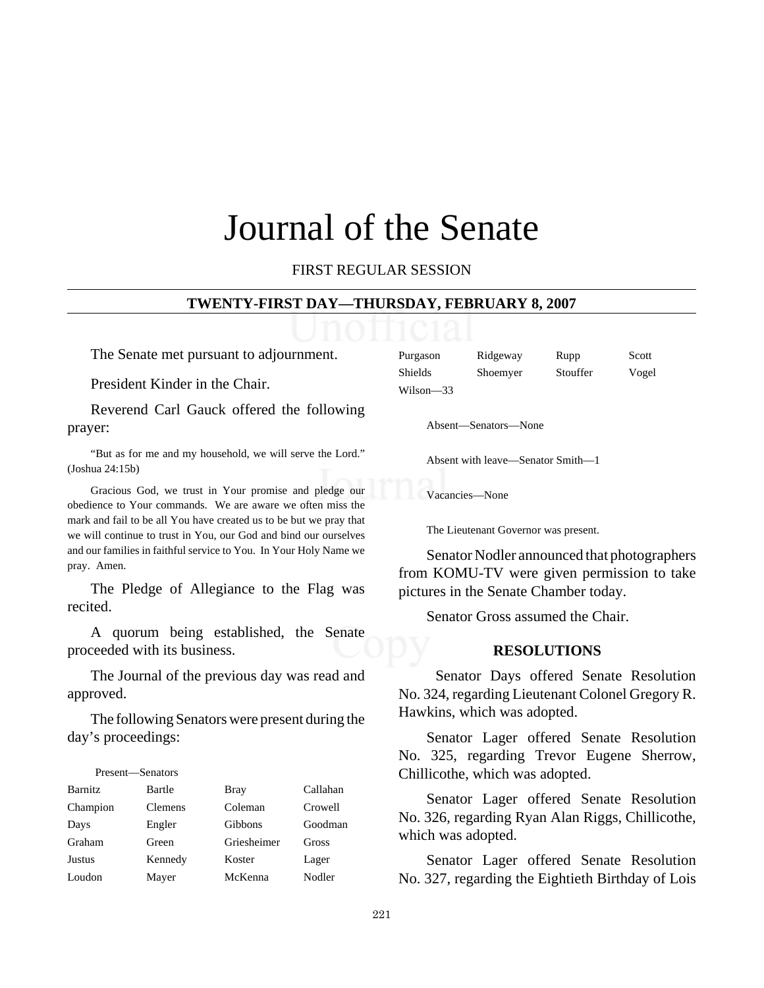# Journal of the Senate

FIRST REGULAR SESSION

#### **TWENTY-FIRST DAY—THURSDAY, FEBRUARY 8, 2007**

The Senate met pursuant to adjournment.

President Kinder in the Chair.

Reverend Carl Gauck offered the following prayer:

"But as for me and my household, we will serve the Lord." (Joshua 24:15b)

Gracious God, we trust in Your promise and pledge our obedience to Your commands. We are aware we often miss the mark and fail to be all You have created us to be but we pray that we will continue to trust in You, our God and bind our ourselves and our families in faithful service to You. In Your Holy Name we pray. Amen.

The Pledge of Allegiance to the Flag was recited.

A quorum being established, the Senate proceeded with its business.

The Journal of the previous day was read and approved.

The following Senators were present during the day's proceedings:

# Present—Senators

| <b>Barnitz</b> | Bartle         | <b>Bray</b> | Callahan |
|----------------|----------------|-------------|----------|
| Champion       | <b>Clemens</b> | Coleman     | Crowell  |
| Days           | Engler         | Gibbons     | Goodman  |
| Graham         | Green          | Griesheimer | Gross    |
| <b>Justus</b>  | Kennedy        | Koster      | Lager    |
| Loudon         | Mayer          | McKenna     | Nodler   |

| Purgason  | Ridgeway | Rupp     | Scott |
|-----------|----------|----------|-------|
| Shields   | Shoemyer | Stouffer | Vogel |
| Wilson-33 |          |          |       |

Absent—Senators—None

Absent with leave—Senator Smith—1

Vacancies—None

The Lieutenant Governor was present.

Senator Nodler announced that photographers from KOMU-TV were given permission to take pictures in the Senate Chamber today.

Senator Gross assumed the Chair.

#### **RESOLUTIONS**

 Senator Days offered Senate Resolution No. 324, regarding Lieutenant Colonel Gregory R. Hawkins, which was adopted.

Senator Lager offered Senate Resolution No. 325, regarding Trevor Eugene Sherrow, Chillicothe, which was adopted.

Senator Lager offered Senate Resolution No. 326, regarding Ryan Alan Riggs, Chillicothe, which was adopted.

Senator Lager offered Senate Resolution No. 327, regarding the Eightieth Birthday of Lois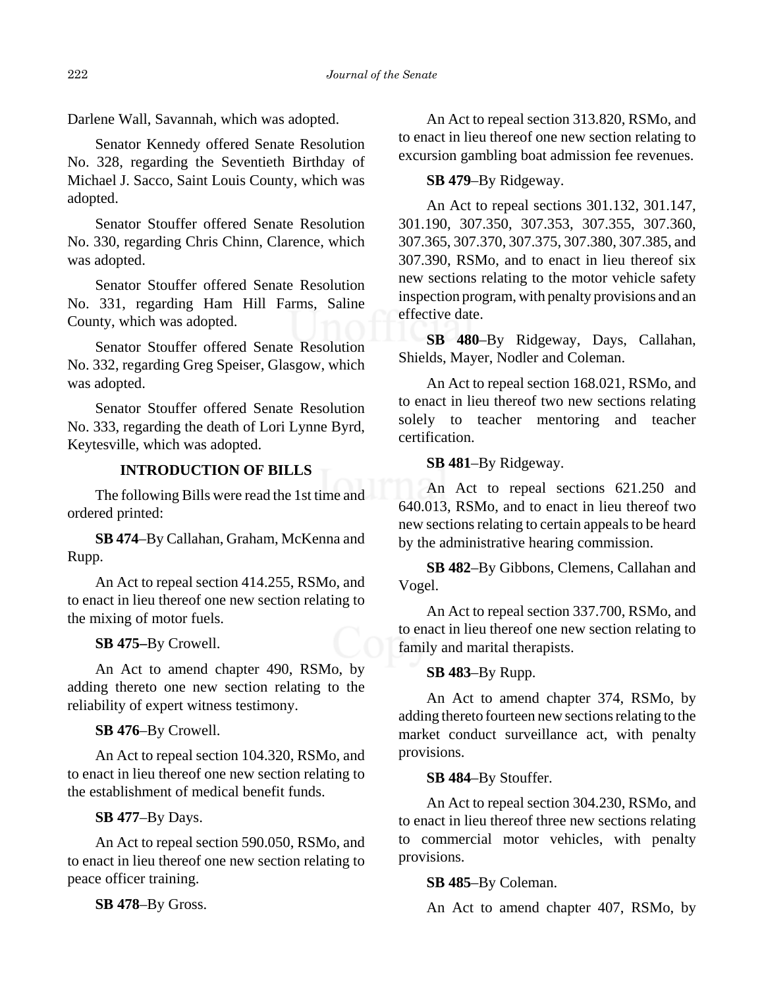Darlene Wall, Savannah, which was adopted.

Senator Kennedy offered Senate Resolution No. 328, regarding the Seventieth Birthday of Michael J. Sacco, Saint Louis County, which was adopted.

Senator Stouffer offered Senate Resolution No. 330, regarding Chris Chinn, Clarence, which was adopted.

Senator Stouffer offered Senate Resolution No. 331, regarding Ham Hill Farms, Saline County, which was adopted.

Senator Stouffer offered Senate Resolution No. 332, regarding Greg Speiser, Glasgow, which was adopted.

Senator Stouffer offered Senate Resolution No. 333, regarding the death of Lori Lynne Byrd, Keytesville, which was adopted.

# **INTRODUCTION OF BILLS**

The following Bills were read the 1st time and ordered printed:

**SB 474**–By Callahan, Graham, McKenna and Rupp.

An Act to repeal section 414.255, RSMo, and to enact in lieu thereof one new section relating to the mixing of motor fuels.

**SB 475–**By Crowell.

An Act to amend chapter 490, RSMo, by adding thereto one new section relating to the reliability of expert witness testimony.

**SB 476**–By Crowell.

An Act to repeal section 104.320, RSMo, and to enact in lieu thereof one new section relating to the establishment of medical benefit funds.

**SB 477**–By Days.

An Act to repeal section 590.050, RSMo, and to enact in lieu thereof one new section relating to peace officer training.

**SB 478**–By Gross.

An Act to repeal section 313.820, RSMo, and to enact in lieu thereof one new section relating to excursion gambling boat admission fee revenues.

# **SB 479**–By Ridgeway.

An Act to repeal sections 301.132, 301.147, 301.190, 307.350, 307.353, 307.355, 307.360, 307.365, 307.370, 307.375, 307.380, 307.385, and 307.390, RSMo, and to enact in lieu thereof six new sections relating to the motor vehicle safety inspection program, with penalty provisions and an effective date.

**SB 480**–By Ridgeway, Days, Callahan, Shields, Mayer, Nodler and Coleman.

An Act to repeal section 168.021, RSMo, and to enact in lieu thereof two new sections relating solely to teacher mentoring and teacher certification.

**SB 481**–By Ridgeway.

An Act to repeal sections 621.250 and 640.013, RSMo, and to enact in lieu thereof two new sections relating to certain appeals to be heard by the administrative hearing commission.

**SB 482**–By Gibbons, Clemens, Callahan and Vogel.

An Act to repeal section 337.700, RSMo, and to enact in lieu thereof one new section relating to family and marital therapists.

**SB 483**–By Rupp.

An Act to amend chapter 374, RSMo, by adding thereto fourteen new sections relating to the market conduct surveillance act, with penalty provisions.

## **SB 484**–By Stouffer.

An Act to repeal section 304.230, RSMo, and to enact in lieu thereof three new sections relating to commercial motor vehicles, with penalty provisions.

# **SB 485**–By Coleman.

An Act to amend chapter 407, RSMo, by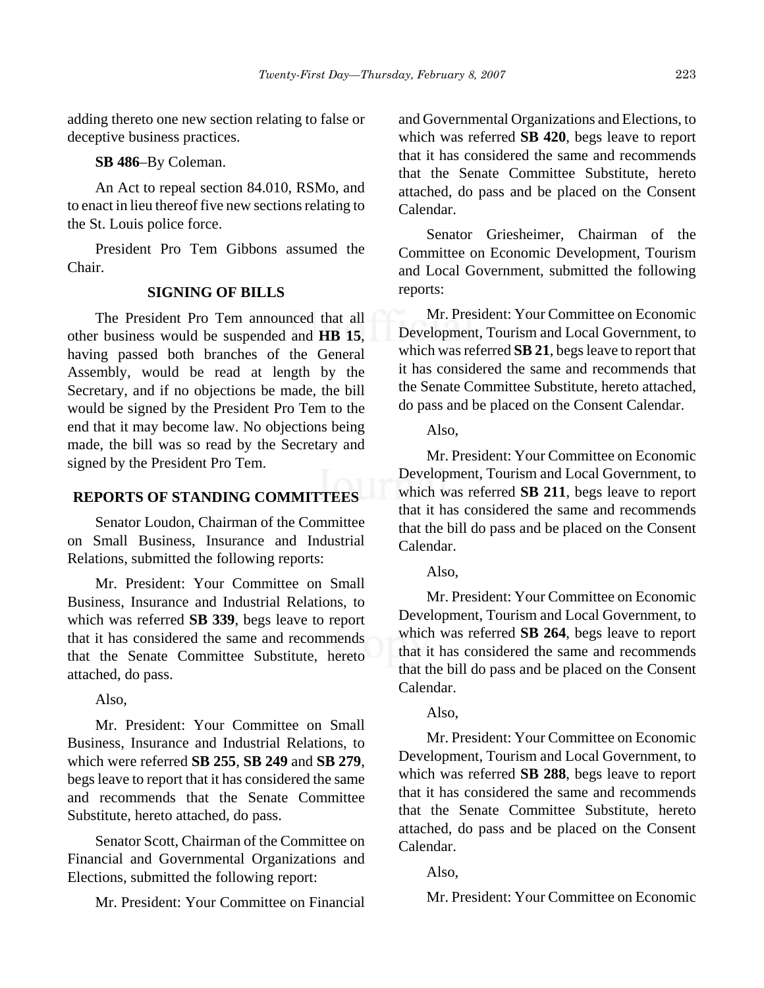adding thereto one new section relating to false or deceptive business practices.

#### **SB 486**–By Coleman.

An Act to repeal section 84.010, RSMo, and to enact in lieu thereof five new sections relating to the St. Louis police force.

President Pro Tem Gibbons assumed the Chair.

# **SIGNING OF BILLS**

The President Pro Tem announced that all other business would be suspended and **HB 15**, having passed both branches of the General Assembly, would be read at length by the Secretary, and if no objections be made, the bill would be signed by the President Pro Tem to the end that it may become law. No objections being made, the bill was so read by the Secretary and signed by the President Pro Tem.

# **REPORTS OF STANDING COMMITTEES**

Senator Loudon, Chairman of the Committee on Small Business, Insurance and Industrial Relations, submitted the following reports:

Mr. President: Your Committee on Small Business, Insurance and Industrial Relations, to which was referred **SB 339**, begs leave to report that it has considered the same and recommends that the Senate Committee Substitute, hereto attached, do pass.

Also,

Mr. President: Your Committee on Small Business, Insurance and Industrial Relations, to which were referred **SB 255**, **SB 249** and **SB 279**, begs leave to report that it has considered the same and recommends that the Senate Committee Substitute, hereto attached, do pass.

Senator Scott, Chairman of the Committee on Financial and Governmental Organizations and Elections, submitted the following report:

Mr. President: Your Committee on Financial

and Governmental Organizations and Elections, to which was referred **SB 420**, begs leave to report that it has considered the same and recommends that the Senate Committee Substitute, hereto attached, do pass and be placed on the Consent Calendar.

Senator Griesheimer, Chairman of the Committee on Economic Development, Tourism and Local Government, submitted the following reports:

Mr. President: Your Committee on Economic Development, Tourism and Local Government, to which was referred **SB 21**, begs leave to report that it has considered the same and recommends that the Senate Committee Substitute, hereto attached, do pass and be placed on the Consent Calendar.

Also,

Mr. President: Your Committee on Economic Development, Tourism and Local Government, to which was referred **SB 211**, begs leave to report that it has considered the same and recommends that the bill do pass and be placed on the Consent Calendar.

#### Also,

Mr. President: Your Committee on Economic Development, Tourism and Local Government, to which was referred **SB 264**, begs leave to report that it has considered the same and recommends that the bill do pass and be placed on the Consent Calendar.

# Also,

Mr. President: Your Committee on Economic Development, Tourism and Local Government, to which was referred **SB 288**, begs leave to report that it has considered the same and recommends that the Senate Committee Substitute, hereto attached, do pass and be placed on the Consent Calendar.

Also,

Mr. President: Your Committee on Economic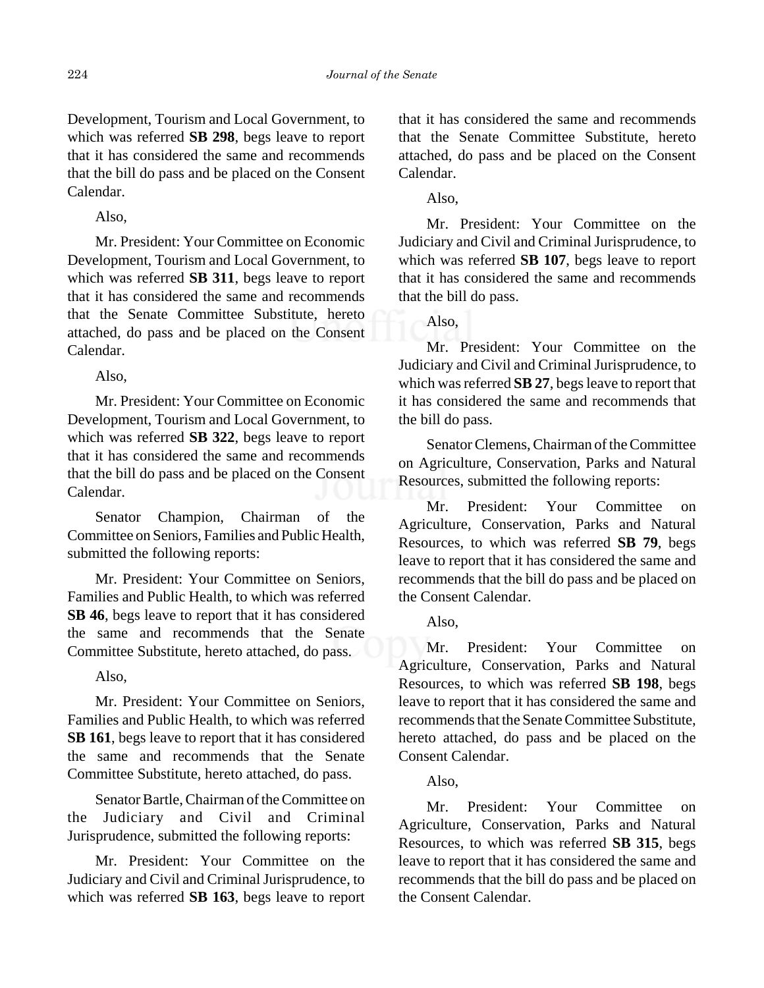Development, Tourism and Local Government, to which was referred **SB 298**, begs leave to report that it has considered the same and recommends that the bill do pass and be placed on the Consent Calendar.

Also,

Mr. President: Your Committee on Economic Development, Tourism and Local Government, to which was referred **SB 311**, begs leave to report that it has considered the same and recommends that the Senate Committee Substitute, hereto attached, do pass and be placed on the Consent Calendar.

Also,

Mr. President: Your Committee on Economic Development, Tourism and Local Government, to which was referred **SB 322**, begs leave to report that it has considered the same and recommends that the bill do pass and be placed on the Consent Calendar.

Senator Champion, Chairman of the Committee on Seniors, Families and Public Health, submitted the following reports:

Mr. President: Your Committee on Seniors, Families and Public Health, to which was referred **SB 46**, begs leave to report that it has considered the same and recommends that the Senate Committee Substitute, hereto attached, do pass.

Also,

Mr. President: Your Committee on Seniors, Families and Public Health, to which was referred **SB 161**, begs leave to report that it has considered the same and recommends that the Senate Committee Substitute, hereto attached, do pass.

Senator Bartle, Chairman of the Committee on the Judiciary and Civil and Criminal Jurisprudence, submitted the following reports:

Mr. President: Your Committee on the Judiciary and Civil and Criminal Jurisprudence, to which was referred **SB 163**, begs leave to report that it has considered the same and recommends that the Senate Committee Substitute, hereto attached, do pass and be placed on the Consent Calendar.

Also,

Mr. President: Your Committee on the Judiciary and Civil and Criminal Jurisprudence, to which was referred **SB 107**, begs leave to report that it has considered the same and recommends that the bill do pass.

Also,

Mr. President: Your Committee on the Judiciary and Civil and Criminal Jurisprudence, to which was referred **SB 27**, begs leave to report that it has considered the same and recommends that the bill do pass.

Senator Clemens, Chairman of the Committee on Agriculture, Conservation, Parks and Natural Resources, submitted the following reports:

Mr. President: Your Committee on Agriculture, Conservation, Parks and Natural Resources, to which was referred **SB 79**, begs leave to report that it has considered the same and recommends that the bill do pass and be placed on the Consent Calendar.

Also,

Mr. President: Your Committee on Agriculture, Conservation, Parks and Natural Resources, to which was referred **SB 198**, begs leave to report that it has considered the same and recommends that the Senate Committee Substitute, hereto attached, do pass and be placed on the Consent Calendar.

Also,

Mr. President: Your Committee on Agriculture, Conservation, Parks and Natural Resources, to which was referred **SB 315**, begs leave to report that it has considered the same and recommends that the bill do pass and be placed on the Consent Calendar.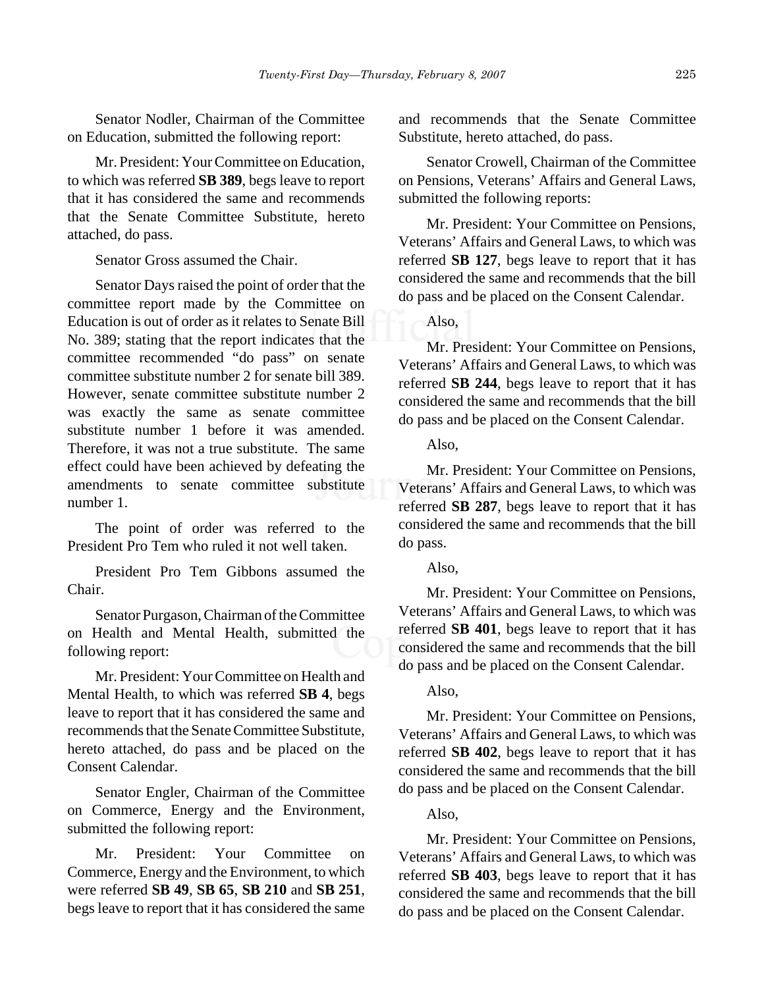Senator Nodler, Chairman of the Committee on Education, submitted the following report:

Mr. President: Your Committee on Education, to which was referred **SB 389**, begs leave to report that it has considered the same and recommends that the Senate Committee Substitute, hereto attached, do pass.

Senator Gross assumed the Chair.

Senator Days raised the point of order that the committee report made by the Committee on Education is out of order as it relates to Senate Bill No. 389; stating that the report indicates that the committee recommended "do pass" on senate committee substitute number 2 for senate bill 389. However, senate committee substitute number 2 was exactly the same as senate committee substitute number 1 before it was amended. Therefore, it was not a true substitute. The same effect could have been achieved by defeating the amendments to senate committee substitute number 1.

The point of order was referred to the President Pro Tem who ruled it not well taken.

President Pro Tem Gibbons assumed the Chair.

Senator Purgason, Chairman of the Committee on Health and Mental Health, submitted the following report:

Mr. President: Your Committee on Health and Mental Health, to which was referred **SB 4**, begs leave to report that it has considered the same and recommends that the Senate Committee Substitute, hereto attached, do pass and be placed on the Consent Calendar.

Senator Engler, Chairman of the Committee on Commerce, Energy and the Environment, submitted the following report:

Mr. President: Your Committee on Commerce, Energy and the Environment, to which were referred **SB 49**, **SB 65**, **SB 210** and **SB 251**, begs leave to report that it has considered the same and recommends that the Senate Committee Substitute, hereto attached, do pass.

Senator Crowell, Chairman of the Committee on Pensions, Veterans' Affairs and General Laws, submitted the following reports:

Mr. President: Your Committee on Pensions, Veterans' Affairs and General Laws, to which was referred **SB 127**, begs leave to report that it has considered the same and recommends that the bill do pass and be placed on the Consent Calendar.

# Also,

Mr. President: Your Committee on Pensions, Veterans' Affairs and General Laws, to which was referred **SB 244**, begs leave to report that it has considered the same and recommends that the bill do pass and be placed on the Consent Calendar.

Also,

Mr. President: Your Committee on Pensions, Veterans' Affairs and General Laws, to which was referred **SB 287**, begs leave to report that it has considered the same and recommends that the bill do pass.

#### Also,

Mr. President: Your Committee on Pensions, Veterans' Affairs and General Laws, to which was referred **SB 401**, begs leave to report that it has considered the same and recommends that the bill do pass and be placed on the Consent Calendar.

#### Also,

Mr. President: Your Committee on Pensions, Veterans' Affairs and General Laws, to which was referred **SB 402**, begs leave to report that it has considered the same and recommends that the bill do pass and be placed on the Consent Calendar.

#### Also,

Mr. President: Your Committee on Pensions, Veterans' Affairs and General Laws, to which was referred **SB 403**, begs leave to report that it has considered the same and recommends that the bill do pass and be placed on the Consent Calendar.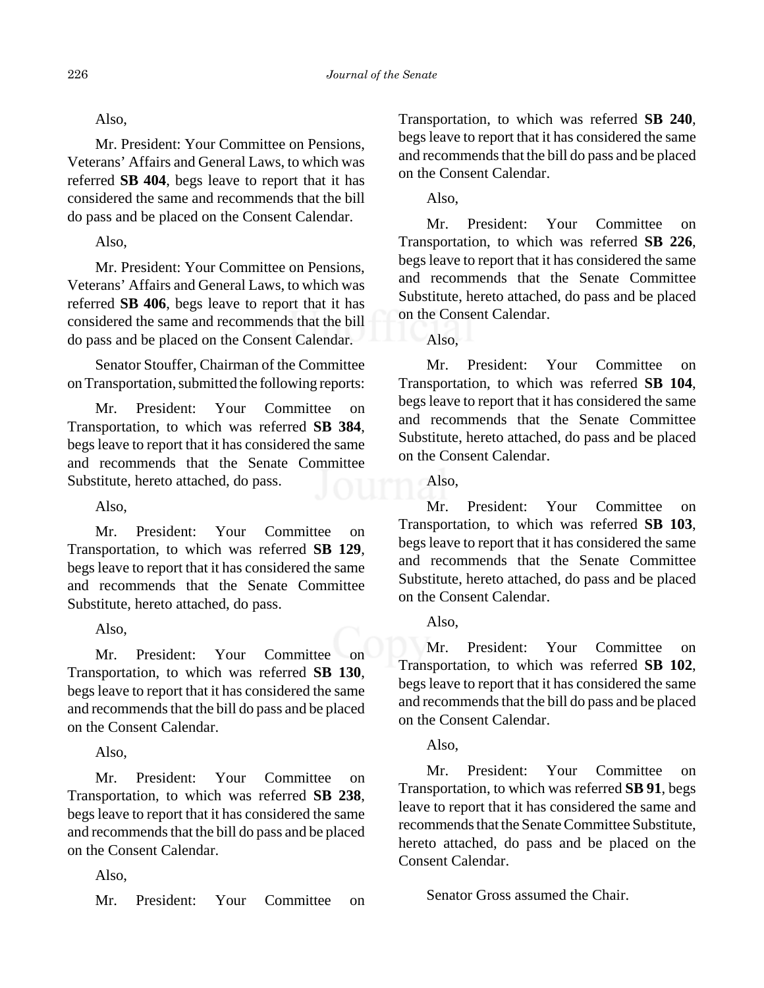# Also,

Mr. President: Your Committee on Pensions, Veterans' Affairs and General Laws, to which was referred **SB 404**, begs leave to report that it has considered the same and recommends that the bill do pass and be placed on the Consent Calendar.

# Also,

Mr. President: Your Committee on Pensions, Veterans' Affairs and General Laws, to which was referred **SB 406**, begs leave to report that it has considered the same and recommends that the bill do pass and be placed on the Consent Calendar.

Senator Stouffer, Chairman of the Committee on Transportation, submitted the following reports:

Mr. President: Your Committee on Transportation, to which was referred **SB 384**, begs leave to report that it has considered the same and recommends that the Senate Committee Substitute, hereto attached, do pass.

Also,

Mr. President: Your Committee on Transportation, to which was referred **SB 129**, begs leave to report that it has considered the same and recommends that the Senate Committee Substitute, hereto attached, do pass.

Also,

Mr. President: Your Committee on Transportation, to which was referred **SB 130**, begs leave to report that it has considered the same and recommends that the bill do pass and be placed on the Consent Calendar.

Also,

Mr. President: Your Committee on Transportation, to which was referred **SB 238**, begs leave to report that it has considered the same and recommends that the bill do pass and be placed on the Consent Calendar.

Also,

Mr. President: Your Committee on

Transportation, to which was referred **SB 240**, begs leave to report that it has considered the same and recommends that the bill do pass and be placed on the Consent Calendar.

Also,

Mr. President: Your Committee on Transportation, to which was referred **SB 226**, begs leave to report that it has considered the same and recommends that the Senate Committee Substitute, hereto attached, do pass and be placed on the Consent Calendar.

Also,

Mr. President: Your Committee on Transportation, to which was referred **SB 104**, begs leave to report that it has considered the same and recommends that the Senate Committee Substitute, hereto attached, do pass and be placed on the Consent Calendar.

Also,

Mr. President: Your Committee on Transportation, to which was referred **SB 103**, begs leave to report that it has considered the same and recommends that the Senate Committee Substitute, hereto attached, do pass and be placed on the Consent Calendar.

Also,

Mr. President: Your Committee on Transportation, to which was referred **SB 102**, begs leave to report that it has considered the same and recommends that the bill do pass and be placed on the Consent Calendar.

# Also,

Mr. President: Your Committee on Transportation, to which was referred **SB 91**, begs leave to report that it has considered the same and recommends that the Senate Committee Substitute, hereto attached, do pass and be placed on the Consent Calendar.

Senator Gross assumed the Chair.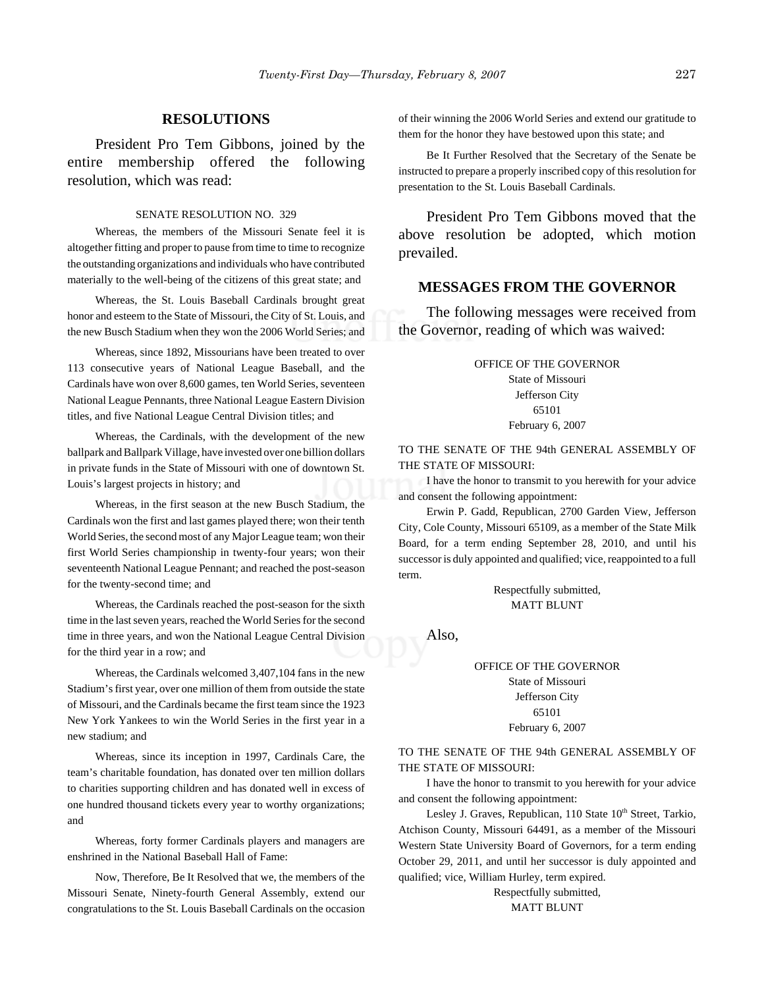### **RESOLUTIONS**

President Pro Tem Gibbons, joined by the entire membership offered the following resolution, which was read:

#### SENATE RESOLUTION NO. 329

Whereas, the members of the Missouri Senate feel it is altogether fitting and proper to pause from time to time to recognize the outstanding organizations and individuals who have contributed materially to the well-being of the citizens of this great state; and

Whereas, the St. Louis Baseball Cardinals brought great honor and esteem to the State of Missouri, the City of St. Louis, and the new Busch Stadium when they won the 2006 World Series; and

Whereas, since 1892, Missourians have been treated to over 113 consecutive years of National League Baseball, and the Cardinals have won over 8,600 games, ten World Series, seventeen National League Pennants, three National League Eastern Division titles, and five National League Central Division titles; and

Whereas, the Cardinals, with the development of the new ballpark and Ballpark Village, have invested over one billion dollars in private funds in the State of Missouri with one of downtown St. Louis's largest projects in history; and

Whereas, in the first season at the new Busch Stadium, the Cardinals won the first and last games played there; won their tenth World Series, the second most of any Major League team; won their first World Series championship in twenty-four years; won their seventeenth National League Pennant; and reached the post-season for the twenty-second time; and

Whereas, the Cardinals reached the post-season for the sixth time in the last seven years, reached the World Series for the second time in three years, and won the National League Central Division for the third year in a row; and

Whereas, the Cardinals welcomed 3,407,104 fans in the new Stadium's first year, over one million of them from outside the state of Missouri, and the Cardinals became the first team since the 1923 New York Yankees to win the World Series in the first year in a new stadium; and

Whereas, since its inception in 1997, Cardinals Care, the team's charitable foundation, has donated over ten million dollars to charities supporting children and has donated well in excess of one hundred thousand tickets every year to worthy organizations; and

Whereas, forty former Cardinals players and managers are enshrined in the National Baseball Hall of Fame:

Now, Therefore, Be It Resolved that we, the members of the Missouri Senate, Ninety-fourth General Assembly, extend our congratulations to the St. Louis Baseball Cardinals on the occasion

of their winning the 2006 World Series and extend our gratitude to them for the honor they have bestowed upon this state; and

Be It Further Resolved that the Secretary of the Senate be instructed to prepare a properly inscribed copy of this resolution for presentation to the St. Louis Baseball Cardinals.

President Pro Tem Gibbons moved that the above resolution be adopted, which motion prevailed.

#### **MESSAGES FROM THE GOVERNOR**

The following messages were received from the Governor, reading of which was waived:

#### OFFICE OF THE GOVERNOR

State of Missouri Jefferson City 65101 February 6, 2007

TO THE SENATE OF THE 94th GENERAL ASSEMBLY OF THE STATE OF MISSOURI:

I have the honor to transmit to you herewith for your advice and consent the following appointment:

Erwin P. Gadd, Republican, 2700 Garden View, Jefferson City, Cole County, Missouri 65109, as a member of the State Milk Board, for a term ending September 28, 2010, and until his successor is duly appointed and qualified; vice, reappointed to a full term.

> Respectfully submitted, MATT BLUNT

Also,

OFFICE OF THE GOVERNOR State of Missouri Jefferson City 65101 February 6, 2007

TO THE SENATE OF THE 94th GENERAL ASSEMBLY OF THE STATE OF MISSOURI:

I have the honor to transmit to you herewith for your advice and consent the following appointment:

Lesley J. Graves, Republican, 110 State 10<sup>th</sup> Street, Tarkio, Atchison County, Missouri 64491, as a member of the Missouri Western State University Board of Governors, for a term ending October 29, 2011, and until her successor is duly appointed and qualified; vice, William Hurley, term expired.

> Respectfully submitted, MATT BLUNT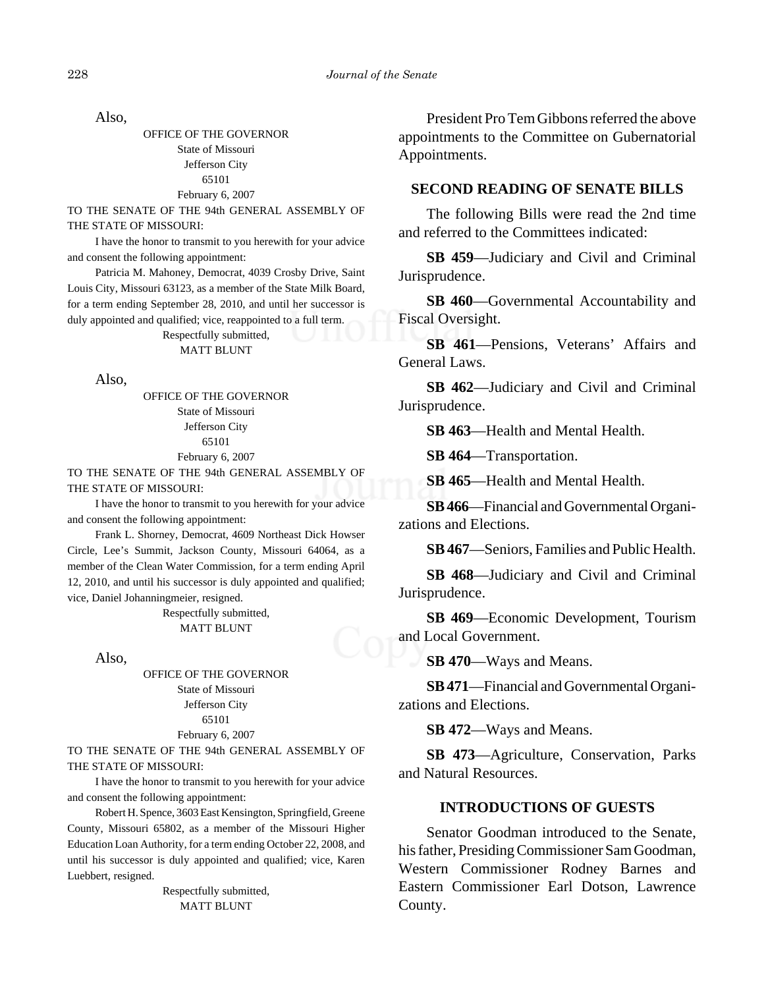Also,

OFFICE OF THE GOVERNOR State of Missouri Jefferson City 65101 February 6, 2007

TO THE SENATE OF THE 94th GENERAL ASSEMBLY OF THE STATE OF MISSOURI:

I have the honor to transmit to you herewith for your advice and consent the following appointment:

Patricia M. Mahoney, Democrat, 4039 Crosby Drive, Saint Louis City, Missouri 63123, as a member of the State Milk Board, for a term ending September 28, 2010, and until her successor is duly appointed and qualified; vice, reappointed to a full term.

#### Respectfully submitted, MATT BLUNT

Also,

OFFICE OF THE GOVERNOR State of Missouri Jefferson City 65101 February 6, 2007

TO THE SENATE OF THE 94th GENERAL ASSEMBLY OF THE STATE OF MISSOURI:

I have the honor to transmit to you herewith for your advice and consent the following appointment:

Frank L. Shorney, Democrat, 4609 Northeast Dick Howser Circle, Lee's Summit, Jackson County, Missouri 64064, as a member of the Clean Water Commission, for a term ending April 12, 2010, and until his successor is duly appointed and qualified; vice, Daniel Johanningmeier, resigned.

> Respectfully submitted, MATT BLUNT

Also,

OFFICE OF THE GOVERNOR State of Missouri Jefferson City 65101 February 6, 2007

TO THE SENATE OF THE 94th GENERAL ASSEMBLY OF THE STATE OF MISSOURI:

I have the honor to transmit to you herewith for your advice and consent the following appointment:

Robert H. Spence, 3603 East Kensington, Springfield, Greene County, Missouri 65802, as a member of the Missouri Higher Education Loan Authority, for a term ending October 22, 2008, and until his successor is duly appointed and qualified; vice, Karen Luebbert, resigned.

> Respectfully submitted, MATT BLUNT

President Pro Tem Gibbons referred the above appointments to the Committee on Gubernatorial Appointments.

#### **SECOND READING OF SENATE BILLS**

The following Bills were read the 2nd time and referred to the Committees indicated:

**SB 459**—Judiciary and Civil and Criminal Jurisprudence.

**SB 460**—Governmental Accountability and Fiscal Oversight.

**SB 461**—Pensions, Veterans' Affairs and General Laws.

**SB 462**—Judiciary and Civil and Criminal Jurisprudence.

**SB 463**—Health and Mental Health.

**SB 464**—Transportation.

**SB 465**—Health and Mental Health.

**SB 466**—Financial and Governmental Organizations and Elections.

**SB 467**—Seniors, Families and Public Health.

**SB 468**—Judiciary and Civil and Criminal Jurisprudence.

**SB 469**—Economic Development, Tourism and Local Government.

**SB 470**—Ways and Means.

**SB 471**—Financial and Governmental Organizations and Elections.

**SB 472**—Ways and Means.

**SB 473**—Agriculture, Conservation, Parks and Natural Resources.

#### **INTRODUCTIONS OF GUESTS**

Senator Goodman introduced to the Senate, his father, Presiding Commissioner Sam Goodman, Western Commissioner Rodney Barnes and Eastern Commissioner Earl Dotson, Lawrence County.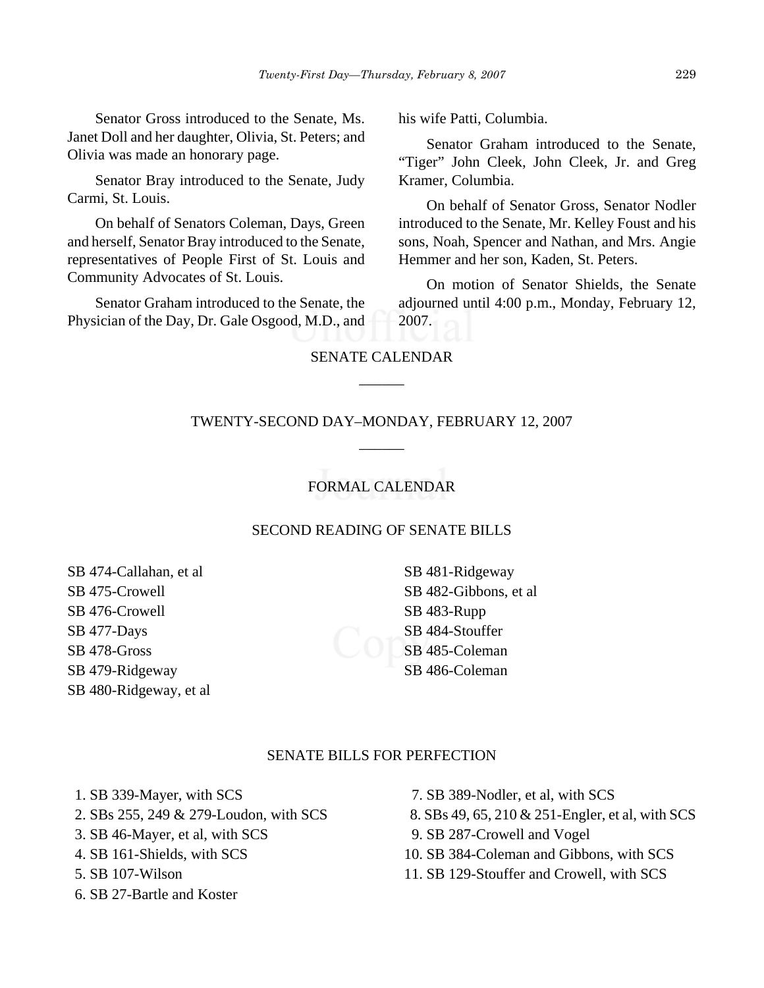Senator Gross introduced to the Senate, Ms. Janet Doll and her daughter, Olivia, St. Peters; and Olivia was made an honorary page.

Senator Bray introduced to the Senate, Judy Carmi, St. Louis.

On behalf of Senators Coleman, Days, Green and herself, Senator Bray introduced to the Senate, representatives of People First of St. Louis and Community Advocates of St. Louis.

Senator Graham introduced to the Senate, the Physician of the Day, Dr. Gale Osgood, M.D., and his wife Patti, Columbia.

Senator Graham introduced to the Senate, "Tiger" John Cleek, John Cleek, Jr. and Greg Kramer, Columbia.

On behalf of Senator Gross, Senator Nodler introduced to the Senate, Mr. Kelley Foust and his sons, Noah, Spencer and Nathan, and Mrs. Angie Hemmer and her son, Kaden, St. Peters.

On motion of Senator Shields, the Senate adjourned until 4:00 p.m., Monday, February 12, 2007.

# SENATE CALENDAR  $\overline{\phantom{a}}$

# TWENTY-SECOND DAY–MONDAY, FEBRUARY 12, 2007 \_\_\_\_\_\_

# FORMAL CALENDAR

## SECOND READING OF SENATE BILLS

SB 474-Callahan, et al SB 475-Crowell SB 476-Crowell SB 477-Days SB 478-Gross SB 479-Ridgeway SB 480-Ridgeway, et al

SB 481-Ridgeway SB 482-Gibbons, et al SB 483-Rupp SB 484-Stouffer SB 485-Coleman SB 486-Coleman

# SENATE BILLS FOR PERFECTION

1. SB 339-Mayer, with SCS

- 2. SBs 255, 249 & 279-Loudon, with SCS
- 3. SB 46-Mayer, et al, with SCS
- 4. SB 161-Shields, with SCS
- 5. SB 107-Wilson
- 6. SB 27-Bartle and Koster
- 7. SB 389-Nodler, et al, with SCS
- 8. SBs 49, 65, 210 & 251-Engler, et al, with SCS
- 9. SB 287-Crowell and Vogel
- 10. SB 384-Coleman and Gibbons, with SCS
- 11. SB 129-Stouffer and Crowell, with SCS